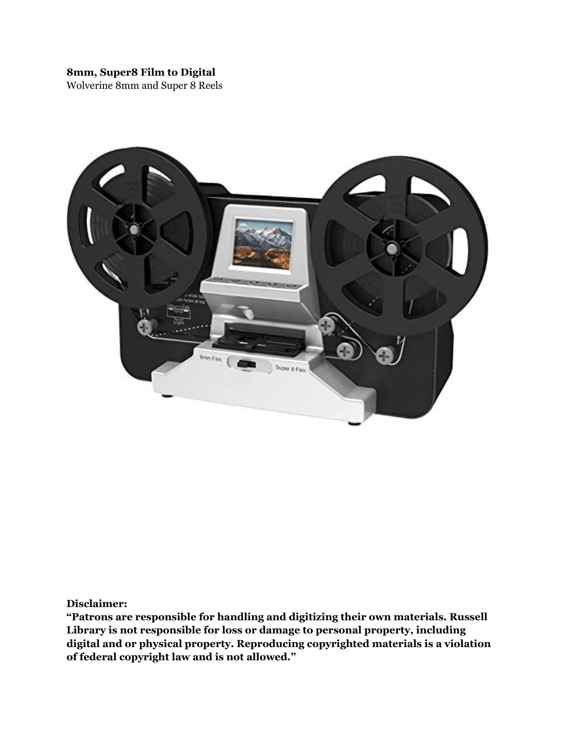# **8mm, Super8 Film to Digital**

Wolverine 8mm and Super 8 Reels



**Disclaimer:**

**"Patrons are responsible for handling and digitizing their own materials. Russell Library is not responsible for loss or damage to personal property, including digital and or physical property. Reproducing copyrighted materials is a violation of federal copyright law and is not allowed."**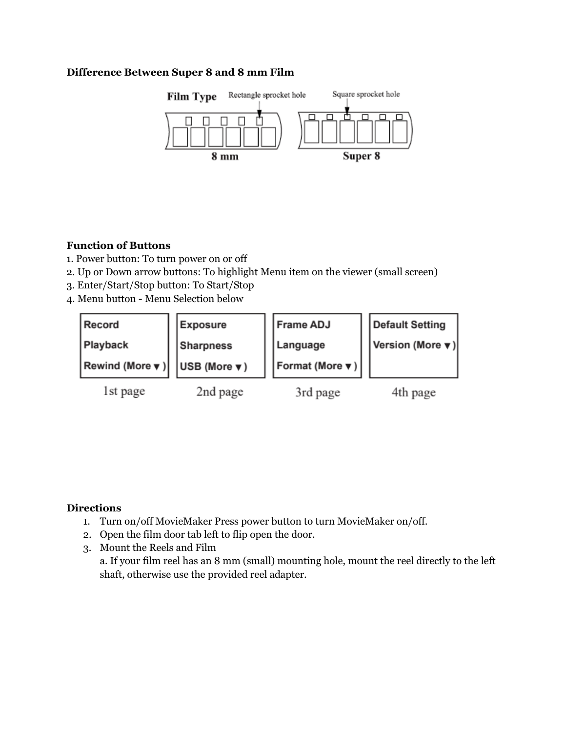### **Difference Between Super 8 and 8 mm Film**



### **Function of Buttons**

- 1. Power button: To turn power on or off
- 2. Up or Down arrow buttons: To highlight Menu item on the viewer (small screen)
- 3. Enter/Start/Stop button: To Start/Stop
- 4. Menu button Menu Selection below

| Record                                                 | <b>Exposure</b> | <b>Frame ADJ</b>                | Default Setting                               |
|--------------------------------------------------------|-----------------|---------------------------------|-----------------------------------------------|
| Playback                                               | Sharpness       | Language                        | <b>Version (More <math>\mathbf{v}</math>)</b> |
| Rewind (More $\mathbf{v}$ )   USB (More $\mathbf{v}$ ) |                 | $ $ Format (More $\mathbf{v}$ ) |                                               |
| 1st page                                               | 2nd page        | 3rd page                        | 4th page                                      |

# **Directions**

- 1. Turn on/off MovieMaker Press power button to turn MovieMaker on/off.
- 2. Open the film door tab left to flip open the door.
- 3. Mount the Reels and Film a. If your film reel has an 8 mm (small) mounting hole, mount the reel directly to the left shaft, otherwise use the provided reel adapter.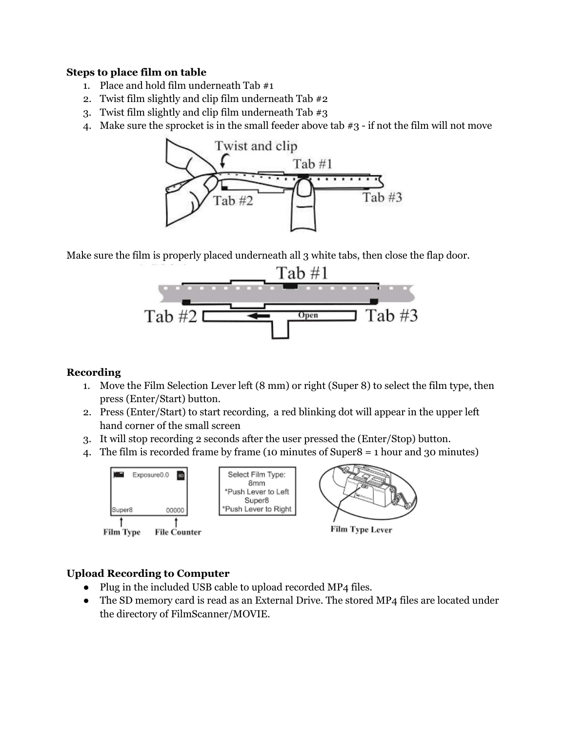### **Steps to place film on table**

- 1. Place and hold film underneath Tab #1
- 2. Twist film slightly and clip film underneath Tab #2
- 3. Twist film slightly and clip film underneath Tab #3
- 4. Make sure the sprocket is in the small feeder above tab #3 if not the film will not move



Make sure the film is properly placed underneath all 3 white tabs, then close the flap door.



### **Recording**

- 1. Move the Film Selection Lever left (8 mm) or right (Super 8) to select the film type, then press (Enter/Start) button.
- 2. Press (Enter/Start) to start recording, a red blinking dot will appear in the upper left hand corner of the small screen
- 3. It will stop recording 2 seconds after the user pressed the (Enter/Stop) button.
- 4. The film is recorded frame by frame (10 minutes of Super8 = 1 hour and 30 minutes)





**Film Type Lever** 

# **Upload Recording to Computer**

- Plug in the included USB cable to upload recorded MP4 files.
- The SD memory card is read as an External Drive. The stored MP4 files are located under the directory of FilmScanner/MOVIE.